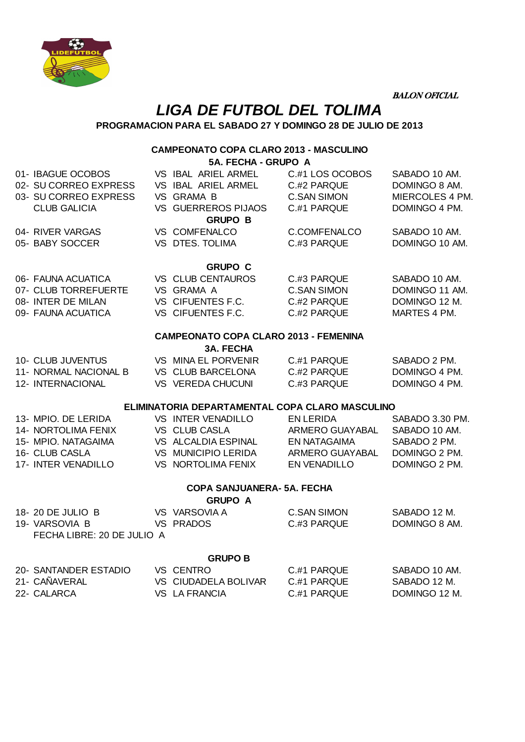

BALON OFICIAL

## **LIGA DE FUTBOL DEL TOLIMA**

**PROGRAMACION PARA EL SABADO 27 Y DOMINGO 28 DE JULIO DE 2013**

## **CAMPEONATO COPA CLARO 2013 - MASCULINO 5A. FECHA - GRUPO A**

|                                                 | 5A. FECHA - GRUPO A        |                                                                                                                                                                                                                                                                                                                                                                                                                                                                                                                            |                                                                                                                                                                                                                                          |  |  |  |  |
|-------------------------------------------------|----------------------------|----------------------------------------------------------------------------------------------------------------------------------------------------------------------------------------------------------------------------------------------------------------------------------------------------------------------------------------------------------------------------------------------------------------------------------------------------------------------------------------------------------------------------|------------------------------------------------------------------------------------------------------------------------------------------------------------------------------------------------------------------------------------------|--|--|--|--|
|                                                 |                            | C.#1 LOS OCOBOS                                                                                                                                                                                                                                                                                                                                                                                                                                                                                                            | SABADO 10 AM.                                                                                                                                                                                                                            |  |  |  |  |
|                                                 |                            | C.#2 PARQUE                                                                                                                                                                                                                                                                                                                                                                                                                                                                                                                | DOMINGO 8 AM.                                                                                                                                                                                                                            |  |  |  |  |
|                                                 |                            | <b>C.SAN SIMON</b>                                                                                                                                                                                                                                                                                                                                                                                                                                                                                                         | MIERCOLES 4 PM.                                                                                                                                                                                                                          |  |  |  |  |
|                                                 |                            | C.#1 PARQUE                                                                                                                                                                                                                                                                                                                                                                                                                                                                                                                | DOMINGO 4 PM.                                                                                                                                                                                                                            |  |  |  |  |
| <b>GRUPO B</b>                                  |                            |                                                                                                                                                                                                                                                                                                                                                                                                                                                                                                                            |                                                                                                                                                                                                                                          |  |  |  |  |
|                                                 |                            | C.COMFENALCO                                                                                                                                                                                                                                                                                                                                                                                                                                                                                                               | SABADO 10 AM.                                                                                                                                                                                                                            |  |  |  |  |
|                                                 |                            | C.#3 PARQUE                                                                                                                                                                                                                                                                                                                                                                                                                                                                                                                | DOMINGO 10 AM.                                                                                                                                                                                                                           |  |  |  |  |
|                                                 |                            |                                                                                                                                                                                                                                                                                                                                                                                                                                                                                                                            |                                                                                                                                                                                                                                          |  |  |  |  |
|                                                 |                            |                                                                                                                                                                                                                                                                                                                                                                                                                                                                                                                            | SABADO 10 AM.                                                                                                                                                                                                                            |  |  |  |  |
|                                                 |                            |                                                                                                                                                                                                                                                                                                                                                                                                                                                                                                                            | DOMINGO 11 AM.                                                                                                                                                                                                                           |  |  |  |  |
|                                                 |                            |                                                                                                                                                                                                                                                                                                                                                                                                                                                                                                                            | DOMINGO 12 M.                                                                                                                                                                                                                            |  |  |  |  |
|                                                 |                            |                                                                                                                                                                                                                                                                                                                                                                                                                                                                                                                            | MARTES 4 PM.                                                                                                                                                                                                                             |  |  |  |  |
|                                                 |                            |                                                                                                                                                                                                                                                                                                                                                                                                                                                                                                                            |                                                                                                                                                                                                                                          |  |  |  |  |
| <b>CAMPEONATO COPA CLARO 2013 - FEMENINA</b>    |                            |                                                                                                                                                                                                                                                                                                                                                                                                                                                                                                                            |                                                                                                                                                                                                                                          |  |  |  |  |
|                                                 |                            |                                                                                                                                                                                                                                                                                                                                                                                                                                                                                                                            |                                                                                                                                                                                                                                          |  |  |  |  |
|                                                 |                            |                                                                                                                                                                                                                                                                                                                                                                                                                                                                                                                            | SABADO 2 PM.                                                                                                                                                                                                                             |  |  |  |  |
|                                                 |                            |                                                                                                                                                                                                                                                                                                                                                                                                                                                                                                                            | DOMINGO 4 PM.                                                                                                                                                                                                                            |  |  |  |  |
|                                                 |                            |                                                                                                                                                                                                                                                                                                                                                                                                                                                                                                                            | DOMINGO 4 PM.                                                                                                                                                                                                                            |  |  |  |  |
| ELIMINATORIA DEPARTAMENTAL COPA CLARO MASCULINO |                            |                                                                                                                                                                                                                                                                                                                                                                                                                                                                                                                            |                                                                                                                                                                                                                                          |  |  |  |  |
|                                                 |                            | <b>EN LERIDA</b>                                                                                                                                                                                                                                                                                                                                                                                                                                                                                                           | SABADO 3.30 PM.                                                                                                                                                                                                                          |  |  |  |  |
|                                                 |                            | ARMERO GUAYABAL                                                                                                                                                                                                                                                                                                                                                                                                                                                                                                            | SABADO 10 AM.                                                                                                                                                                                                                            |  |  |  |  |
|                                                 |                            | EN NATAGAIMA                                                                                                                                                                                                                                                                                                                                                                                                                                                                                                               | SABADO 2 PM.                                                                                                                                                                                                                             |  |  |  |  |
|                                                 |                            |                                                                                                                                                                                                                                                                                                                                                                                                                                                                                                                            | DOMINGO 2 PM.                                                                                                                                                                                                                            |  |  |  |  |
|                                                 |                            | EN VENADILLO                                                                                                                                                                                                                                                                                                                                                                                                                                                                                                               | DOMINGO 2 PM.                                                                                                                                                                                                                            |  |  |  |  |
|                                                 |                            |                                                                                                                                                                                                                                                                                                                                                                                                                                                                                                                            |                                                                                                                                                                                                                                          |  |  |  |  |
|                                                 |                            |                                                                                                                                                                                                                                                                                                                                                                                                                                                                                                                            |                                                                                                                                                                                                                                          |  |  |  |  |
|                                                 |                            | <b>C.SAN SIMON</b>                                                                                                                                                                                                                                                                                                                                                                                                                                                                                                         | SABADO 12 M.                                                                                                                                                                                                                             |  |  |  |  |
|                                                 |                            | C.#3 PARQUE                                                                                                                                                                                                                                                                                                                                                                                                                                                                                                                | DOMINGO 8 AM.                                                                                                                                                                                                                            |  |  |  |  |
|                                                 |                            |                                                                                                                                                                                                                                                                                                                                                                                                                                                                                                                            |                                                                                                                                                                                                                                          |  |  |  |  |
|                                                 |                            |                                                                                                                                                                                                                                                                                                                                                                                                                                                                                                                            |                                                                                                                                                                                                                                          |  |  |  |  |
|                                                 |                            |                                                                                                                                                                                                                                                                                                                                                                                                                                                                                                                            |                                                                                                                                                                                                                                          |  |  |  |  |
|                                                 |                            |                                                                                                                                                                                                                                                                                                                                                                                                                                                                                                                            | SABADO 10 AM.<br>SABADO 12 M.                                                                                                                                                                                                            |  |  |  |  |
|                                                 |                            |                                                                                                                                                                                                                                                                                                                                                                                                                                                                                                                            | DOMINGO 12 M.                                                                                                                                                                                                                            |  |  |  |  |
|                                                 |                            |                                                                                                                                                                                                                                                                                                                                                                                                                                                                                                                            |                                                                                                                                                                                                                                          |  |  |  |  |
|                                                 | FECHA LIBRE: 20 DE JULIO A | VS IBAL ARIEL ARMEL<br>VS IBAL ARIEL ARMEL<br>VS GRAMA B<br>VS GUERREROS PIJAOS<br>VS COMFENALCO<br>VS DTES. TOLIMA<br><b>GRUPO C</b><br>VS CLUB CENTAUROS<br>VS GRAMA A<br>VS CIFUENTES F.C.<br>VS CIFUENTES F.C.<br><b>3A. FECHA</b><br>VS MINA EL PORVENIR<br>VS CLUB BARCELONA<br>VS VEREDA CHUCUNI<br>VS INTER VENADILLO<br>VS CLUB CASLA<br>VS MUNICIPIO LERIDA<br>VS NORTOLIMA FENIX<br><b>GRUPO A</b><br>VS VARSOVIA A<br>VS PRADOS<br><b>GRUPO B</b><br><b>VS CENTRO</b><br>VS CIUDADELA BOLIVAR<br>VS LA FRANCIA | C.#3 PARQUE<br><b>C.SAN SIMON</b><br>C #2 PARQUE<br>C.#2 PARQUE<br>C.#1 PARQUE<br>C.#2 PARQUE<br>C.#3 PARQUE<br>VS ALCALDIA ESPINAL<br>ARMERO GUAYABAL<br><b>COPA SANJUANERA- 5A. FECHA</b><br>C #1 PARQUE<br>C #1 PARQUE<br>C.#1 PARQUE |  |  |  |  |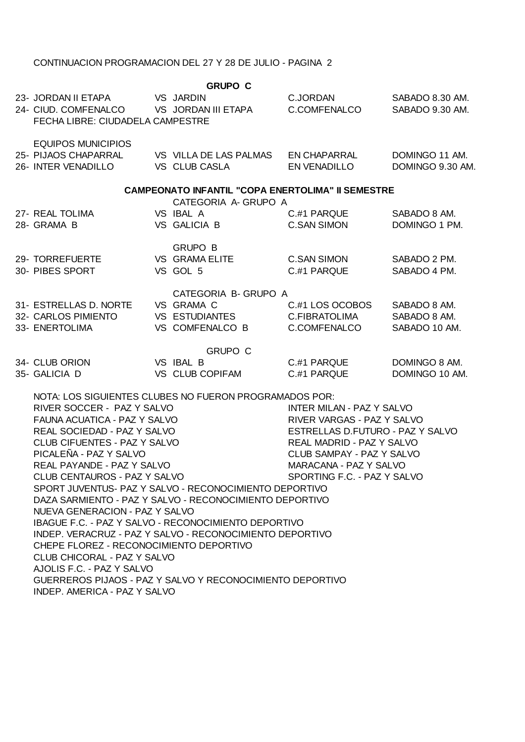## CONTINUACION PROGRAMACION DEL 27 Y 28 DE JULIO - PAGINA 2

| <b>GRUPO C</b> |                                                                                                                                                                                                                                                                                                                                                                                                                                                                                                                                                                                                                                                                                                                                                                                                                                                                                                                                                                                            |  |                                                                                |                                                  |                                               |  |  |  |  |
|----------------|--------------------------------------------------------------------------------------------------------------------------------------------------------------------------------------------------------------------------------------------------------------------------------------------------------------------------------------------------------------------------------------------------------------------------------------------------------------------------------------------------------------------------------------------------------------------------------------------------------------------------------------------------------------------------------------------------------------------------------------------------------------------------------------------------------------------------------------------------------------------------------------------------------------------------------------------------------------------------------------------|--|--------------------------------------------------------------------------------|--------------------------------------------------|-----------------------------------------------|--|--|--|--|
|                | 23- JORDAN II ETAPA VS JARDIN<br>24- CIUD. COMFENALCO VS JORDAN III ETAPA<br>FECHA LIBRE: CIUDADELA CAMPESTRE                                                                                                                                                                                                                                                                                                                                                                                                                                                                                                                                                                                                                                                                                                                                                                                                                                                                              |  |                                                                                | C.JORDAN<br>C.COMFENALCO                         | SABADO 8.30 AM.<br>SABADO 9.30 AM.            |  |  |  |  |
|                | <b>EQUIPOS MUNICIPIOS</b><br>25- PIJAOS CHAPARRAL             VS   VILLA DE LAS PALMAS       EN CHAPARRAL<br>26- INTER VENADILLO                                                                                                                                                                                                                                                                                                                                                                                                                                                                                                                                                                                                                                                                                                                                                                                                                                                           |  | VS CLUB CASLA                                                                  | EN VENADILLO                                     | DOMINGO 11 AM.<br>DOMINGO 9.30 AM.            |  |  |  |  |
|                | <b>CAMPEONATO INFANTIL "COPA ENERTOLIMA" II SEMESTRE</b>                                                                                                                                                                                                                                                                                                                                                                                                                                                                                                                                                                                                                                                                                                                                                                                                                                                                                                                                   |  |                                                                                |                                                  |                                               |  |  |  |  |
|                | 27- REAL TOLIMA<br>28- GRAMA B                                                                                                                                                                                                                                                                                                                                                                                                                                                                                                                                                                                                                                                                                                                                                                                                                                                                                                                                                             |  | CATEGORIA A- GRUPO A<br>VS IBAL A<br>VS GALICIA B                              | C #1 PARQUE<br><b>C.SAN SIMON</b>                | SABADO 8 AM.<br>DOMINGO 1 PM.                 |  |  |  |  |
|                | 29- TORREFUERTE<br>30- PIBES SPORT                                                                                                                                                                                                                                                                                                                                                                                                                                                                                                                                                                                                                                                                                                                                                                                                                                                                                                                                                         |  | <b>GRUPO B</b><br>VS GRAMA ELITE<br>VS GOL 5                                   | C.SAN SIMON<br>C.#1 PARQUE                       | SABADO 2 PM.<br>SABADO 4 PM.                  |  |  |  |  |
|                | 31- ESTRELLAS D. NORTE<br>32- CARLOS PIMIENTO<br>33- ENERTOLIMA                                                                                                                                                                                                                                                                                                                                                                                                                                                                                                                                                                                                                                                                                                                                                                                                                                                                                                                            |  | CATEGORIA B- GRUPO A<br>VS GRAMA C<br><b>VS ESTUDIANTES</b><br>VS COMFENALCO B | C.#1 LOS OCOBOS<br>C.FIBRATOLIMA<br>C.COMFENALCO | SABADO 8 AM.<br>SABADO 8 AM.<br>SABADO 10 AM. |  |  |  |  |
|                | 34- CLUB ORION<br>35- GALICIA D                                                                                                                                                                                                                                                                                                                                                                                                                                                                                                                                                                                                                                                                                                                                                                                                                                                                                                                                                            |  | <b>GRUPO C</b><br>VS IBAL B<br>VS CLUB COPIFAM                                 | C.#1 PARQUE<br>C.#1 PARQUE                       | DOMINGO 8 AM.<br>DOMINGO 10 AM.               |  |  |  |  |
|                | NOTA: LOS SIGUIENTES CLUBES NO FUERON PROGRAMADOS POR:<br>RIVER SOCCER - PAZ Y SALVO<br><b>INTER MILAN - PAZ Y SALVO</b><br>FAUNA ACUATICA - PAZ Y SALVO<br>RIVER VARGAS - PAZ Y SALVO<br>REAL SOCIEDAD - PAZ Y SALVO<br>ESTRELLAS D.FUTURO - PAZ Y SALVO<br>CLUB CIFUENTES - PAZ Y SALVO<br><b>REAL MADRID - PAZ Y SALVO</b><br>PICALEÑA - PAZ Y SALVO<br>CLUB SAMPAY - PAZ Y SALVO<br>REAL PAYANDE - PAZ Y SALVO<br>MARACANA - PAZ Y SALVO<br>CLUB CENTAUROS - PAZ Y SALVO<br>SPORTING F.C. - PAZ Y SALVO<br>SPORT JUVENTUS- PAZ Y SALVO - RECONOCIMIENTO DEPORTIVO<br>DAZA SARMIENTO - PAZ Y SALVO - RECONOCIMIENTO DEPORTIVO<br>NUEVA GENERACION - PAZ Y SALVO<br>IBAGUE F.C. - PAZ Y SALVO - RECONOCIMIENTO DEPORTIVO<br>INDEP. VERACRUZ - PAZ Y SALVO - RECONOCIMIENTO DEPORTIVO<br>CHEPE FLOREZ - RECONOCIMIENTO DEPORTIVO<br>CLUB CHICORAL - PAZ Y SALVO<br>AJOLIS F.C. - PAZ Y SALVO<br>GUERREROS PIJAOS - PAZ Y SALVO Y RECONOCIMIENTO DEPORTIVO<br>INDEP. AMERICA - PAZ Y SALVO |  |                                                                                |                                                  |                                               |  |  |  |  |